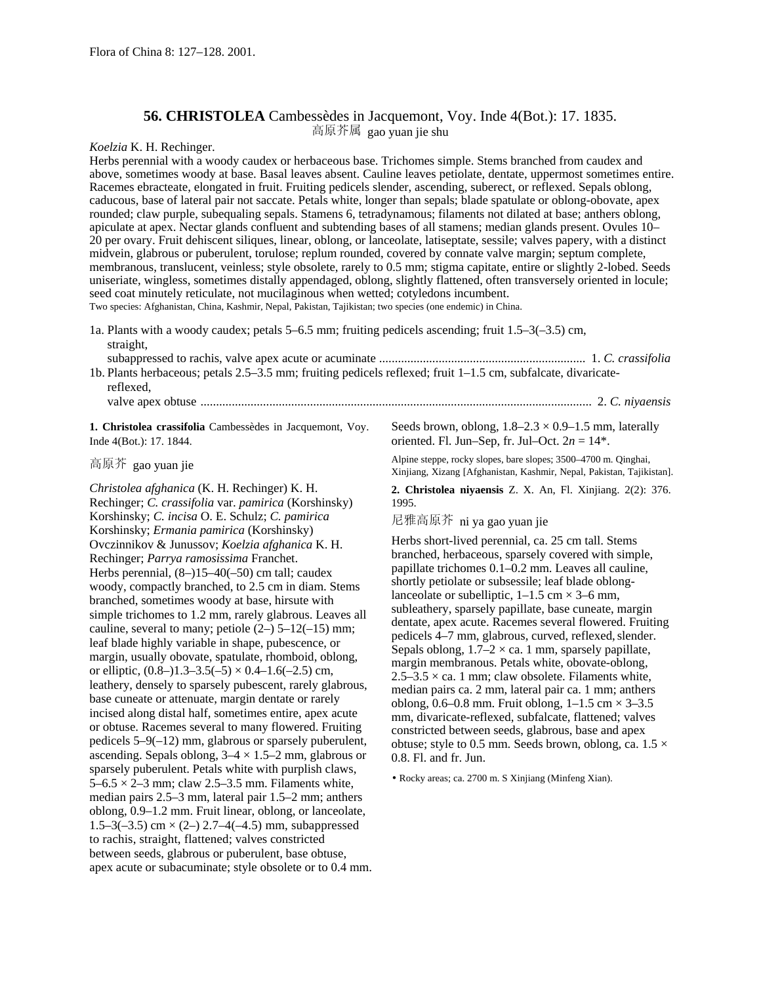## **56. CHRISTOLEA** Cambessèdes in Jacquemont, Voy. Inde 4(Bot.): 17. 1835. 高原芥属 gao yuan jie shu

*Koelzia* K. H. Rechinger.

Herbs perennial with a woody caudex or herbaceous base. Trichomes simple. Stems branched from caudex and above, sometimes woody at base. Basal leaves absent. Cauline leaves petiolate, dentate, uppermost sometimes entire. Racemes ebracteate, elongated in fruit. Fruiting pedicels slender, ascending, suberect, or reflexed. Sepals oblong, caducous, base of lateral pair not saccate. Petals white, longer than sepals; blade spatulate or oblong-obovate, apex rounded; claw purple, subequaling sepals. Stamens 6, tetradynamous; filaments not dilated at base; anthers oblong, apiculate at apex. Nectar glands confluent and subtending bases of all stamens; median glands present. Ovules 10– 20 per ovary. Fruit dehiscent siliques, linear, oblong, or lanceolate, latiseptate, sessile; valves papery, with a distinct midvein, glabrous or puberulent, torulose; replum rounded, covered by connate valve margin; septum complete, membranous, translucent, veinless; style obsolete, rarely to 0.5 mm; stigma capitate, entire or slightly 2-lobed. Seeds uniseriate, wingless, sometimes distally appendaged, oblong, slightly flattened, often transversely oriented in locule; seed coat minutely reticulate, not mucilaginous when wetted; cotyledons incumbent. Two species: Afghanistan, China, Kashmir, Nepal, Pakistan, Tajikistan; two species (one endemic) in China.

1a. Plants with a woody caudex; petals 5–6.5 mm; fruiting pedicels ascending; fruit 1.5–3(–3.5) cm, straight,

| 1b. Plants herbaceous; petals 2.5–3.5 mm; fruiting pedicels reflexed; fruit 1–1.5 cm, subfalcate, divaricate- |  |
|---------------------------------------------------------------------------------------------------------------|--|
| reflexed.                                                                                                     |  |
|                                                                                                               |  |

**1. Christolea crassifolia** Cambessèdes in Jacquemont, Voy. Inde 4(Bot.): 17. 1844.

## 高原芥 gao yuan jie

*Christolea afghanica* (K. H. Rechinger) K. H. Rechinger; *C. crassifolia* var. *pamirica* (Korshinsky) Korshinsky; *C. incisa* O. E. Schulz; *C. pamirica* Korshinsky; *Ermania pamirica* (Korshinsky) Ovczinnikov & Junussov; *Koelzia afghanica* K. H. Rechinger; *Parrya ramosissima* Franchet. Herbs perennial, (8–)15–40(–50) cm tall; caudex woody, compactly branched, to 2.5 cm in diam. Stems branched, sometimes woody at base, hirsute with simple trichomes to 1.2 mm, rarely glabrous. Leaves all cauline, several to many; petiole  $(2-)$  5–12(–15) mm; leaf blade highly variable in shape, pubescence, or margin, usually obovate, spatulate, rhomboid, oblong, or elliptic,  $(0.8-)1.3-3.5(-5) \times 0.4-1.6(-2.5)$  cm, leathery, densely to sparsely pubescent, rarely glabrous, base cuneate or attenuate, margin dentate or rarely incised along distal half, sometimes entire, apex acute or obtuse. Racemes several to many flowered. Fruiting pedicels 5–9(–12) mm, glabrous or sparsely puberulent, ascending. Sepals oblong,  $3-4 \times 1.5-2$  mm, glabrous or sparsely puberulent. Petals white with purplish claws,  $5-6.5 \times 2-3$  mm; claw 2.5-3.5 mm. Filaments white, median pairs 2.5–3 mm, lateral pair 1.5–2 mm; anthers oblong, 0.9–1.2 mm. Fruit linear, oblong, or lanceolate, 1.5–3(-3.5) cm  $\times$  (2–) 2.7–4(-4.5) mm, subappressed to rachis, straight, flattened; valves constricted between seeds, glabrous or puberulent, base obtuse, apex acute or subacuminate; style obsolete or to 0.4 mm. Seeds brown, oblong,  $1.8-2.3 \times 0.9-1.5$  mm, laterally oriented. Fl. Jun–Sep, fr. Jul–Oct.  $2n = 14$ <sup>\*</sup>.

Alpine steppe, rocky slopes, bare slopes; 3500–4700 m. Qinghai, Xinjiang, Xizang [Afghanistan, Kashmir, Nepal, Pakistan, Tajikistan].

**2. Christolea niyaensis** Z. X. An, Fl. Xinjiang. 2(2): 376. 1995.

尼雅高原芥 ni ya gao yuan jie

Herbs short-lived perennial, ca. 25 cm tall. Stems branched, herbaceous, sparsely covered with simple, papillate trichomes 0.1–0.2 mm. Leaves all cauline, shortly petiolate or subsessile; leaf blade oblonglanceolate or subelliptic,  $1-1.5$  cm  $\times$  3–6 mm, subleathery, sparsely papillate, base cuneate, margin dentate, apex acute. Racemes several flowered. Fruiting pedicels 4–7 mm, glabrous, curved, reflexed, slender. Sepals oblong,  $1.7-2 \times$  ca. 1 mm, sparsely papillate, margin membranous. Petals white, obovate-oblong,  $2.5-3.5 \times$  ca. 1 mm; claw obsolete. Filaments white, median pairs ca. 2 mm, lateral pair ca. 1 mm; anthers oblong,  $0.6-0.8$  mm. Fruit oblong,  $1-1.5$  cm  $\times$  3-3.5 mm, divaricate-reflexed, subfalcate, flattened; valves constricted between seeds, glabrous, base and apex obtuse; style to 0.5 mm. Seeds brown, oblong, ca.  $1.5 \times$ 0.8. Fl. and fr. Jun.

• Rocky areas; ca. 2700 m. S Xinjiang (Minfeng Xian).